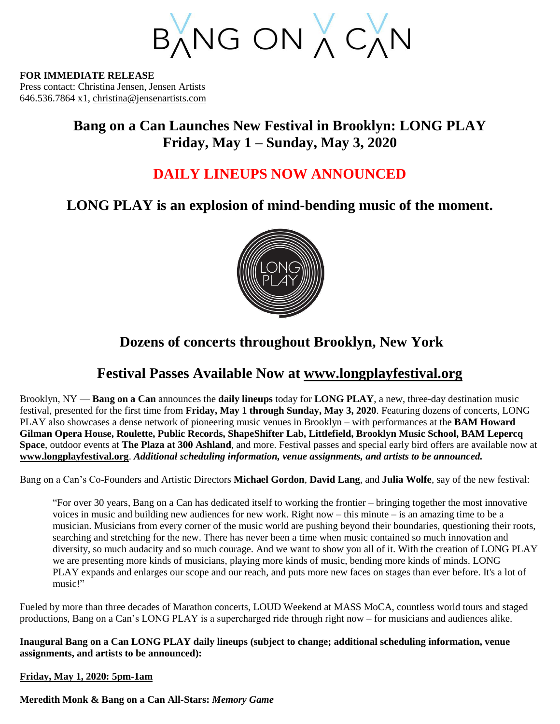BANG ON A CAN

**FOR IMMEDIATE RELEASE** Press contact: Christina Jensen, Jensen Artists 646.536.7864 x1, [christina@jensenartists.com](mailto:christina@jensenartists.com)

# **Bang on a Can Launches New Festival in Brooklyn: LONG PLAY Friday, May 1 – Sunday, May 3, 2020**

# **DAILY LINEUPS NOW ANNOUNCED**

# **LONG PLAY is an explosion of mind-bending music of the moment.**



# **Dozens of concerts throughout Brooklyn, New York**

# **Festival Passes Available Now at [www.longplayfestival.org](http://www.longplayfestival.org/)**

Brooklyn, NY — **Bang on a Can** announces the **daily lineups** today for **LONG PLAY**, a new, three-day destination music festival, presented for the first time from **Friday, May 1 through Sunday, May 3, 2020**. Featuring dozens of concerts, LONG PLAY also showcases a dense network of pioneering music venues in Brooklyn – with performances at the **BAM Howard Gilman Opera House, Roulette, Public Records, ShapeShifter Lab, Littlefield, Brooklyn Music School, BAM Lepercq Space**, outdoor events at **The Plaza at 300 Ashland**, and more. Festival passes and special early bird offers are available now at **[www.longplayfestival.org](http://www.longplayfestival.org/)**. *Additional scheduling information, venue assignments, and artists to be announced.*

Bang on a Can's Co-Founders and Artistic Directors **Michael Gordon**, **David Lang**, and **Julia Wolfe**, say of the new festival:

"For over 30 years, Bang on a Can has dedicated itself to working the frontier – bringing together the most innovative voices in music and building new audiences for new work. Right now – this minute – is an amazing time to be a musician. Musicians from every corner of the music world are pushing beyond their boundaries, questioning their roots, searching and stretching for the new. There has never been a time when music contained so much innovation and diversity, so much audacity and so much courage. And we want to show you all of it. With the creation of LONG PLAY we are presenting more kinds of musicians, playing more kinds of music, bending more kinds of minds. LONG PLAY expands and enlarges our scope and our reach, and puts more new faces on stages than ever before. It's a lot of music!"

Fueled by more than three decades of Marathon concerts, LOUD Weekend at MASS MoCA, countless world tours and staged productions, Bang on a Can's LONG PLAY is a supercharged ride through right now – for musicians and audiences alike.

**Inaugural Bang on a Can LONG PLAY daily lineups (subject to change; additional scheduling information, venue assignments, and artists to be announced):**

# **Friday, May 1, 2020: 5pm-1am**

**Meredith Monk & Bang on a Can All-Stars:** *Memory Game*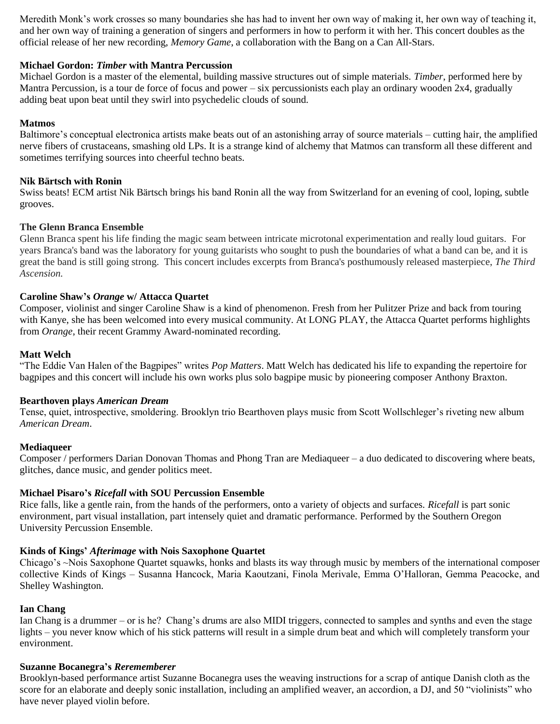Meredith Monk's work crosses so many boundaries she has had to invent her own way of making it, her own way of teaching it, and her own way of training a generation of singers and performers in how to perform it with her. This concert doubles as the official release of her new recording, *Memory Game*, a collaboration with the Bang on a Can All-Stars.

# **Michael Gordon:** *Timber* **with Mantra Percussion**

Michael Gordon is a master of the elemental, building massive structures out of simple materials. *Timber*, performed here by Mantra Percussion, is a tour de force of focus and power – six percussionists each play an ordinary wooden 2x4, gradually adding beat upon beat until they swirl into psychedelic clouds of sound.

## **Matmos**

Baltimore's conceptual electronica artists make beats out of an astonishing array of source materials – cutting hair, the amplified nerve fibers of crustaceans, smashing old LPs. It is a strange kind of alchemy that Matmos can transform all these different and sometimes terrifying sources into cheerful techno beats.

## **Nik Bärtsch with Ronin**

Swiss beats! ECM artist Nik Bärtsch brings his band Ronin all the way from Switzerland for an evening of cool, loping, subtle grooves.

# **The Glenn Branca Ensemble**

Glenn Branca spent his life finding the magic seam between intricate microtonal experimentation and really loud guitars. For years Branca's band was the laboratory for young guitarists who sought to push the boundaries of what a band can be, and it is great the band is still going strong. This concert includes excerpts from Branca's posthumously released masterpiece, *The Third Ascension.*

# **Caroline Shaw's** *Orange* **w/ Attacca Quartet**

Composer, violinist and singer Caroline Shaw is a kind of phenomenon. Fresh from her Pulitzer Prize and back from touring with Kanye, she has been welcomed into every musical community. At LONG PLAY, the Attacca Quartet performs highlights from *Orange*, their recent Grammy Award-nominated recording.

# **Matt Welch**

"The Eddie Van Halen of the Bagpipes" writes *Pop Matters*. Matt Welch has dedicated his life to expanding the repertoire for bagpipes and this concert will include his own works plus solo bagpipe music by pioneering composer Anthony Braxton.

### **Bearthoven plays** *American Dream*

Tense, quiet, introspective, smoldering. Brooklyn trio Bearthoven plays music from Scott Wollschleger's riveting new album *American Dream*.

### **Mediaqueer**

Composer / performers Darian Donovan Thomas and Phong Tran are Mediaqueer – a duo dedicated to discovering where beats, glitches, dance music, and gender politics meet.

### **Michael Pisaro's** *Ricefall* **with SOU Percussion Ensemble**

Rice falls, like a gentle rain, from the hands of the performers, onto a variety of objects and surfaces. *Ricefall* is part sonic environment, part visual installation, part intensely quiet and dramatic performance. Performed by the Southern Oregon University Percussion Ensemble.

### **Kinds of Kings'** *Afterimage* **with Nois Saxophone Quartet**

Chicago's ~Nois Saxophone Quartet squawks, honks and blasts its way through music by members of the international composer collective Kinds of Kings – Susanna Hancock, Maria Kaoutzani, Finola Merivale, Emma O'Halloran, Gemma Peacocke, and Shelley Washington.

### **Ian Chang**

Ian Chang is a drummer – or is he? Chang's drums are also MIDI triggers, connected to samples and synths and even the stage lights – you never know which of his stick patterns will result in a simple drum beat and which will completely transform your environment.

### **Suzanne Bocanegra's** *Rerememberer*

Brooklyn-based performance artist Suzanne Bocanegra uses the weaving instructions for a scrap of antique Danish cloth as the score for an elaborate and deeply sonic installation, including an amplified weaver, an accordion, a DJ, and 50 "violinists" who have never played violin before.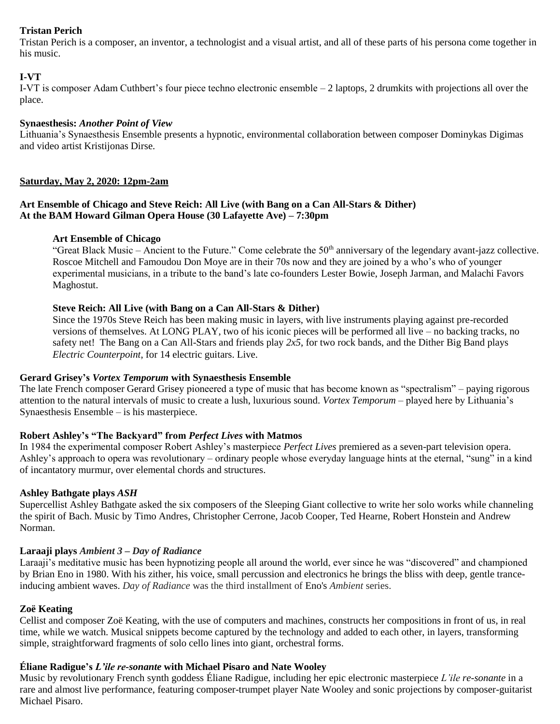# **Tristan Perich**

Tristan Perich is a composer, an inventor, a technologist and a visual artist, and all of these parts of his persona come together in his music.

# **I-VT**

I-VT is composer Adam Cuthbert's four piece techno electronic ensemble – 2 laptops, 2 drumkits with projections all over the place.

# **Synaesthesis:** *Another Point of View*

Lithuania's Synaesthesis Ensemble presents a hypnotic, environmental collaboration between composer Dominykas Digimas and video artist Kristijonas Dirse.

# **Saturday, May 2, 2020: 12pm-2am**

# **Art Ensemble of Chicago and Steve Reich: All Live (with Bang on a Can All-Stars & Dither) At the BAM Howard Gilman Opera House (30 Lafayette Ave) – 7:30pm**

# **Art Ensemble of Chicago**

"Great Black Music – Ancient to the Future." Come celebrate the  $50<sup>th</sup>$  anniversary of the legendary avant-jazz collective. Roscoe Mitchell and Famoudou Don Moye are in their 70s now and they are joined by a who's who of younger experimental musicians, in a tribute to the band's late co-founders Lester Bowie, Joseph Jarman, and Malachi Favors Maghostut.

# **Steve Reich: All Live (with Bang on a Can All-Stars & Dither)**

Since the 1970s Steve Reich has been making music in layers, with live instruments playing against pre-recorded versions of themselves. At LONG PLAY, two of his iconic pieces will be performed all live – no backing tracks, no safety net! The Bang on a Can All-Stars and friends play *2x5*, for two rock bands, and the Dither Big Band plays *Electric Counterpoint*, for 14 electric guitars. Live.

# **Gerard Grisey's** *Vortex Temporum* **with Synaesthesis Ensemble**

The late French composer Gerard Grisey pioneered a type of music that has become known as "spectralism" – paying rigorous attention to the natural intervals of music to create a lush, luxurious sound. *Vortex Temporum* – played here by Lithuania's Synaesthesis Ensemble – is his masterpiece.

# **Robert Ashley's "The Backyard" from** *Perfect Lives* **with Matmos**

In 1984 the experimental composer Robert Ashley's masterpiece *Perfect Lives* premiered as a seven-part television opera. Ashley's approach to opera was revolutionary – ordinary people whose everyday language hints at the eternal, "sung" in a kind of incantatory murmur, over elemental chords and structures.

### **Ashley Bathgate plays** *ASH*

Supercellist Ashley Bathgate asked the six composers of the Sleeping Giant collective to write her solo works while channeling the spirit of Bach. Music by Timo Andres, Christopher Cerrone, Jacob Cooper, Ted Hearne, Robert Honstein and Andrew Norman.

# **Laraaji plays** *Ambient 3 – Day of Radiance*

Laraaji's meditative music has been hypnotizing people all around the world, ever since he was "discovered" and championed by Brian Eno in 1980. With his zither, his voice, small percussion and electronics he brings the bliss with deep, gentle tranceinducing ambient waves. *Day of Radiance* was the third installment of Eno's *Ambient* series.

# **Zoë Keating**

Cellist and composer Zoë Keating, with the use of computers and machines, constructs her compositions in front of us, in real time, while we watch. Musical snippets become captured by the technology and added to each other, in layers, transforming simple, straightforward fragments of solo cello lines into giant, orchestral forms.

# **Éliane Radigue's** *L'ile re-sonante* **with Michael Pisaro and Nate Wooley**

Music by revolutionary French synth goddess Éliane Radigue, including her epic electronic masterpiece *L'ile re-sonante* in a rare and almost live performance, featuring composer-trumpet player Nate Wooley and sonic projections by composer-guitarist Michael Pisaro.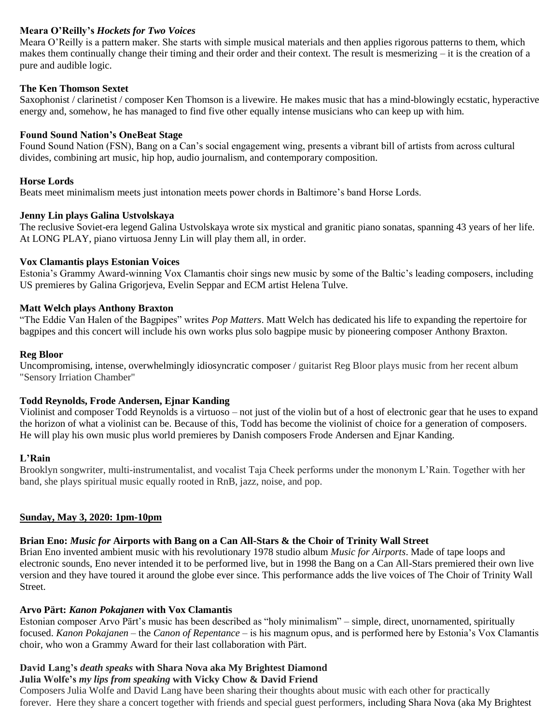# **Meara O'Reilly's** *Hockets for Two Voices*

Meara O'Reilly is a pattern maker. She starts with simple musical materials and then applies rigorous patterns to them, which makes them continually change their timing and their order and their context. The result is mesmerizing – it is the creation of a pure and audible logic.

## **The Ken Thomson Sextet**

Saxophonist / clarinetist / composer Ken Thomson is a livewire. He makes music that has a mind-blowingly ecstatic, hyperactive energy and, somehow, he has managed to find five other equally intense musicians who can keep up with him.

### **Found Sound Nation's OneBeat Stage**

Found Sound Nation (FSN), Bang on a Can's social engagement wing, presents a vibrant bill of artists from across cultural divides, combining art music, hip hop, audio journalism, and contemporary composition.

# **Horse Lords**

Beats meet minimalism meets just intonation meets power chords in Baltimore's band Horse Lords.

# **Jenny Lin plays Galina Ustvolskaya**

The reclusive Soviet-era legend Galina Ustvolskaya wrote six mystical and granitic piano sonatas, spanning 43 years of her life. At LONG PLAY, piano virtuosa Jenny Lin will play them all, in order.

### **Vox Clamantis plays Estonian Voices**

Estonia's Grammy Award-winning Vox Clamantis choir sings new music by some of the Baltic's leading composers, including US premieres by Galina Grigorjeva, Evelin Seppar and ECM artist Helena Tulve.

# **Matt Welch plays Anthony Braxton**

"The Eddie Van Halen of the Bagpipes" writes *Pop Matters*. Matt Welch has dedicated his life to expanding the repertoire for bagpipes and this concert will include his own works plus solo bagpipe music by pioneering composer Anthony Braxton.

### **Reg Bloor**

Uncompromising, intense, overwhelmingly idiosyncratic composer / guitarist Reg Bloor plays music from her recent album "Sensory Irriation Chamber"

# **Todd Reynolds, Frode Andersen, Ejnar Kanding**

Violinist and composer Todd Reynolds is a virtuoso – not just of the violin but of a host of electronic gear that he uses to expand the horizon of what a violinist can be. Because of this, Todd has become the violinist of choice for a generation of composers. He will play his own music plus world premieres by Danish composers Frode Andersen and Ejnar Kanding.

### **L'Rain**

Brooklyn songwriter, multi-instrumentalist, and vocalist Taja Cheek performs under the mononym L'Rain. Together with her band, she plays spiritual music equally rooted in RnB, jazz, noise, and pop.

# **Sunday, May 3, 2020: 1pm-10pm**

# **Brian Eno:** *Music for* **Airports with Bang on a Can All-Stars & the Choir of Trinity Wall Street**

Brian Eno invented ambient music with his revolutionary 1978 studio album *Music for Airports*. Made of tape loops and electronic sounds, Eno never intended it to be performed live, but in 1998 the Bang on a Can All-Stars premiered their own live version and they have toured it around the globe ever since. This performance adds the live voices of The Choir of Trinity Wall Street.

### **Arvo Pärt:** *Kanon Pokajanen* **with Vox Clamantis**

Estonian composer Arvo Pärt's music has been described as "holy minimalism" – simple, direct, unornamented, spiritually focused. *Kanon Pokajanen* – the *Canon of Repentance* – is his magnum opus, and is performed here by Estonia's Vox Clamantis choir, who won a Grammy Award for their last collaboration with Pärt.

# **David Lang's** *death speaks* **with Shara Nova aka My Brightest Diamond**

# **Julia Wolfe's** *my lips from speaking* **with Vicky Chow & David Friend**

Composers Julia Wolfe and David Lang have been sharing their thoughts about music with each other for practically forever. Here they share a concert together with friends and special guest performers, including Shara Nova (aka My Brightest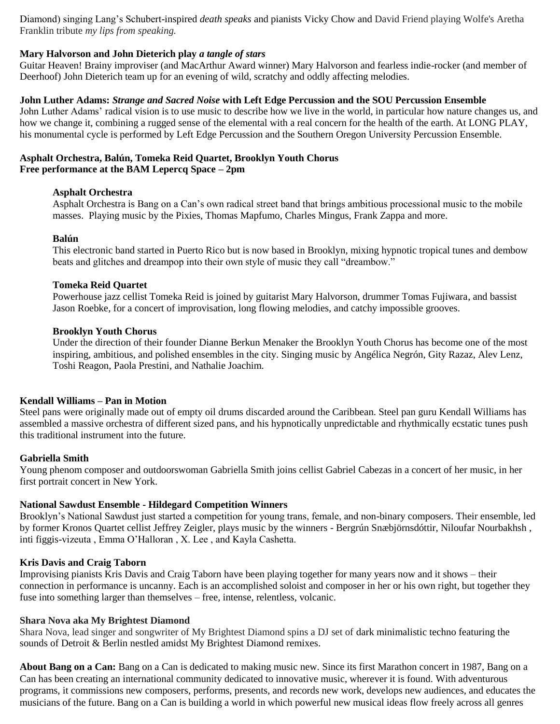Diamond) singing Lang's Schubert-inspired *death speaks* and pianists Vicky Chow and David Friend playing Wolfe's Aretha Franklin tribute *my lips from speaking.*

## **Mary Halvorson and John Dieterich play** *a tangle of stars*

Guitar Heaven! Brainy improviser (and MacArthur Award winner) Mary Halvorson and fearless indie-rocker (and member of Deerhoof) John Dieterich team up for an evening of wild, scratchy and oddly affecting melodies.

### **John Luther Adams:** *Strange and Sacred Noise* **with Left Edge Percussion and the SOU Percussion Ensemble**

John Luther Adams' radical vision is to use music to describe how we live in the world, in particular how nature changes us, and how we change it, combining a rugged sense of the elemental with a real concern for the health of the earth. At LONG PLAY, his monumental cycle is performed by Left Edge Percussion and the Southern Oregon University Percussion Ensemble.

#### **Asphalt Orchestra, Balún, Tomeka Reid Quartet, Brooklyn Youth Chorus Free performance at the BAM Lepercq Space – 2pm**

### **Asphalt Orchestra**

Asphalt Orchestra is Bang on a Can's own radical street band that brings ambitious processional music to the mobile masses. Playing music by the Pixies, Thomas Mapfumo, Charles Mingus, Frank Zappa and more.

#### **Balún**

This electronic band started in Puerto Rico but is now based in Brooklyn, mixing hypnotic tropical tunes and dembow beats and glitches and dreampop into their own style of music they call "dreambow."

#### **Tomeka Reid Quartet**

Powerhouse jazz cellist Tomeka Reid is joined by guitarist Mary Halvorson, drummer Tomas Fujiwara, and bassist Jason Roebke, for a concert of improvisation, long flowing melodies, and catchy impossible grooves.

#### **Brooklyn Youth Chorus**

Under the direction of their founder Dianne Berkun Menaker the Brooklyn Youth Chorus has become one of the most inspiring, ambitious, and polished ensembles in the city. Singing music by Angélica Negrón, Gity Razaz, Alev Lenz, Toshi Reagon, Paola Prestini, and Nathalie Joachim.

### **Kendall Williams – Pan in Motion**

Steel pans were originally made out of empty oil drums discarded around the Caribbean. Steel pan guru Kendall Williams has assembled a massive orchestra of different sized pans, and his hypnotically unpredictable and rhythmically ecstatic tunes push this traditional instrument into the future.

### **Gabriella Smith**

Young phenom composer and outdoorswoman Gabriella Smith joins cellist Gabriel Cabezas in a concert of her music, in her first portrait concert in New York.

### **National Sawdust Ensemble - Hildegard Competition Winners**

Brooklyn's National Sawdust just started a competition for young trans, female, and non-binary composers. Their ensemble, led by former Kronos Quartet cellist Jeffrey Zeigler, plays music by the winners - Bergrún Snæbjörnsdóttir, Niloufar Nourbakhsh , inti figgis-vizeuta , Emma O'Halloran , X. Lee , and Kayla Cashetta.

## **Kris Davis and Craig Taborn**

Improvising pianists Kris Davis and Craig Taborn have been playing together for many years now and it shows – their connection in performance is uncanny. Each is an accomplished soloist and composer in her or his own right, but together they fuse into something larger than themselves – free, intense, relentless, volcanic.

#### **Shara Nova aka My Brightest Diamond**

Shara Nova, lead singer and songwriter of My Brightest Diamond spins a DJ set of dark minimalistic techno featuring the sounds of Detroit & Berlin nestled amidst My Brightest Diamond remixes.

**About Bang on a Can:** Bang on a Can is dedicated to making music new. Since its first Marathon concert in 1987, Bang on a Can has been creating an international community dedicated to innovative music, wherever it is found. With adventurous programs, it commissions new composers, performs, presents, and records new work, develops new audiences, and educates the musicians of the future. Bang on a Can is building a world in which powerful new musical ideas flow freely across all genres